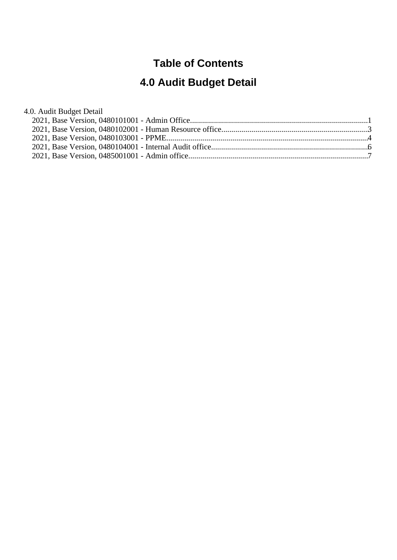#### **Table of Contents**

# **4.0 Audit Budget Detail**

#### 4.0. Audit Budget Detail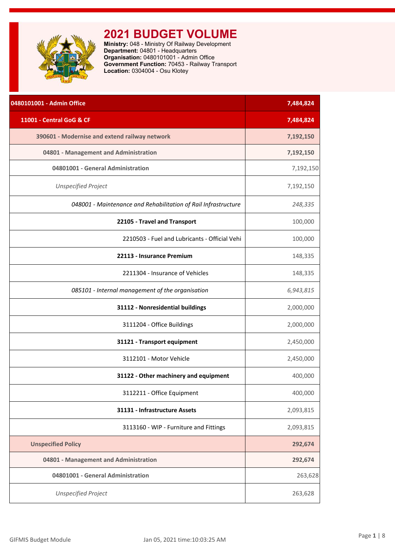<span id="page-1-0"></span>

**Ministry:** 048 - Ministry Of Railway Development **Department:** 04801 - Headquarters **Organisation:** 0480101001 - Admin Office **Government Function:** 70453 - Railway Transport **Location:** 0304004 - Osu Klotey

| 0480101001 - Admin Office                                      | 7,484,824 |
|----------------------------------------------------------------|-----------|
| 11001 - Central GoG & CF                                       | 7,484,824 |
| 390601 - Modernise and extend railway network                  | 7,192,150 |
| 04801 - Management and Administration                          | 7,192,150 |
| 04801001 - General Administration                              | 7,192,150 |
| <b>Unspecified Project</b>                                     | 7,192,150 |
| 048001 - Maintenance and Rehabilitation of Rail Infrastructure | 248,335   |
| 22105 - Travel and Transport                                   | 100,000   |
| 2210503 - Fuel and Lubricants - Official Vehi                  | 100,000   |
| 22113 - Insurance Premium                                      | 148,335   |
| 2211304 - Insurance of Vehicles                                | 148,335   |
| 085101 - Internal management of the organisation               | 6,943,815 |
| 31112 - Nonresidential buildings                               | 2,000,000 |
| 3111204 - Office Buildings                                     | 2,000,000 |
| 31121 - Transport equipment                                    | 2,450,000 |
| 3112101 - Motor Vehicle                                        | 2,450,000 |
| 31122 - Other machinery and equipment                          | 400,000   |
| 3112211 - Office Equipment                                     | 400,000   |
| 31131 - Infrastructure Assets                                  | 2,093,815 |
| 3113160 - WIP - Furniture and Fittings                         | 2,093,815 |
| <b>Unspecified Policy</b>                                      | 292,674   |
| 04801 - Management and Administration                          | 292,674   |
| 04801001 - General Administration                              | 263,628   |
| <b>Unspecified Project</b>                                     | 263,628   |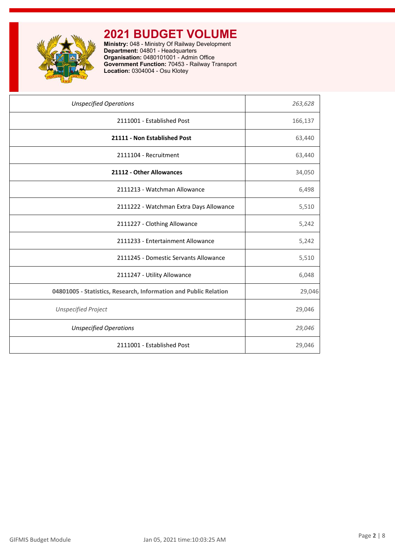

**Ministry:** 048 - Ministry Of Railway Development **Department:** 04801 - Headquarters **Organisation:** 0480101001 - Admin Office **Government Function:** 70453 - Railway Transport **Location:** 0304004 - Osu Klotey

| 263,628 |
|---------|
| 166,137 |
| 63,440  |
| 63,440  |
| 34,050  |
| 6,498   |
| 5,510   |
| 5,242   |
| 5,242   |
| 5,510   |
| 6,048   |
| 29,046  |
| 29,046  |
| 29,046  |
| 29,046  |
|         |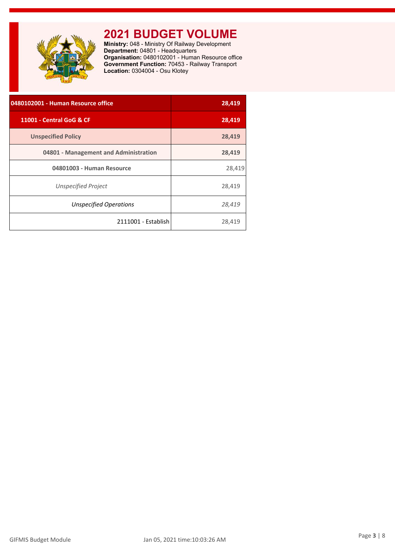<span id="page-3-0"></span>

**Ministry:** 048 - Ministry Of Railway Development **Department:** 04801 - Headquarters **Organisation:** 0480102001 - Human Resource office **Government Function:** 70453 - Railway Transport **Location:** 0304004 - Osu Klotey

| 0480102001 - Human Resource office    | 28,419 |
|---------------------------------------|--------|
| 11001 - Central GoG & CF              | 28,419 |
| <b>Unspecified Policy</b>             | 28,419 |
| 04801 - Management and Administration | 28,419 |
| 04801003 - Human Resource             | 28,419 |
| <b>Unspecified Project</b>            | 28,419 |
| <b>Unspecified Operations</b>         | 28,419 |
| 2111001 - Establish                   | 28,419 |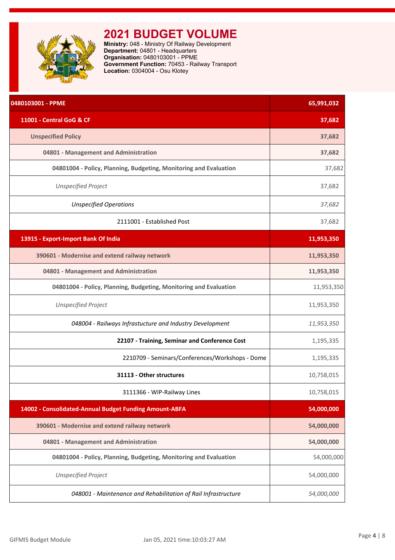<span id="page-4-0"></span>

**Ministry:** 048 - Ministry Of Railway Development **Department:** 04801 - Headquarters **Organisation:** 0480103001 - PPME **Government Function:** 70453 - Railway Transport **Location:** 0304004 - Osu Klotey

| 0480103001 - PPME                                                 | 65,991,032 |
|-------------------------------------------------------------------|------------|
| 11001 - Central GoG & CF                                          | 37,682     |
| <b>Unspecified Policy</b>                                         | 37,682     |
| 04801 - Management and Administration                             | 37,682     |
| 04801004 - Policy, Planning, Budgeting, Monitoring and Evaluation | 37,682     |
| <b>Unspecified Project</b>                                        | 37,682     |
| <b>Unspecified Operations</b>                                     | 37,682     |
| 2111001 - Established Post                                        | 37,682     |
| 13915 - Export-Import Bank Of India                               | 11,953,350 |
| 390601 - Modernise and extend railway network                     | 11,953,350 |
| 04801 - Management and Administration                             | 11,953,350 |
| 04801004 - Policy, Planning, Budgeting, Monitoring and Evaluation | 11,953,350 |
| <b>Unspecified Project</b>                                        | 11,953,350 |
| 048004 - Railways Infrastucture and Industry Development          | 11,953,350 |
| 22107 - Training, Seminar and Conference Cost                     | 1,195,335  |
| 2210709 - Seminars/Conferences/Workshops - Dome                   | 1,195,335  |
| 31113 - Other structures                                          | 10,758,015 |
| 3111366 - WIP-Railway Lines                                       | 10,758,015 |
| 14002 - Consolidated-Annual Budget Funding Amount-ABFA            | 54,000,000 |
| 390601 - Modernise and extend railway network                     | 54,000,000 |
| 04801 - Management and Administration                             | 54,000,000 |
| 04801004 - Policy, Planning, Budgeting, Monitoring and Evaluation | 54,000,000 |
| <b>Unspecified Project</b>                                        | 54,000,000 |
| 048001 - Maintenance and Rehabilitation of Rail Infrastructure    | 54,000,000 |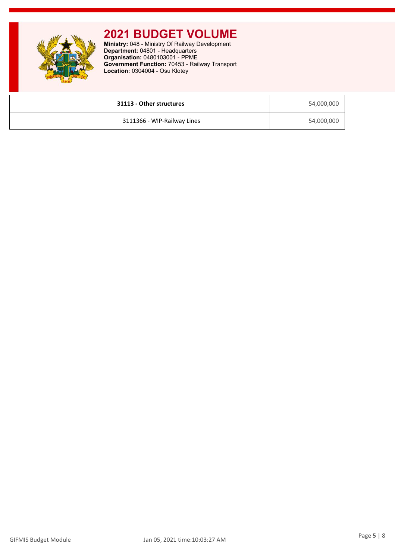**Ministry:** 048 - Ministry Of Railway Development **Department:** 04801 - Headquarters **Organisation:** 0480103001 - PPME **Government Function:** 70453 - Railway Transport **Location:** 0304004 - Osu Klotey

| 31113 - Other structures    | 54,000,000 |
|-----------------------------|------------|
| 3111366 - WIP-Railway Lines | 54,000,000 |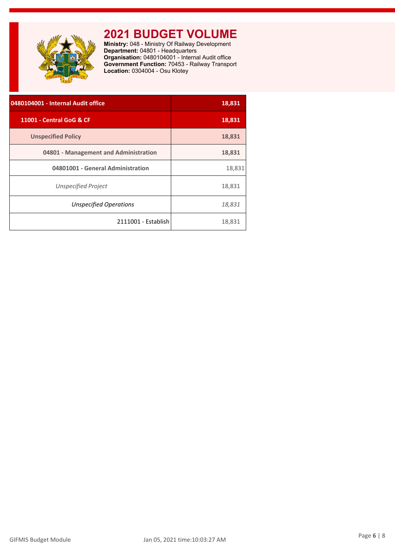<span id="page-6-0"></span>

**Ministry:** 048 - Ministry Of Railway Development **Department:** 04801 - Headquarters **Organisation:** 0480104001 - Internal Audit office **Government Function:** 70453 - Railway Transport **Location:** 0304004 - Osu Klotey

| 0480104001 - Internal Audit office    | 18,831 |
|---------------------------------------|--------|
| 11001 - Central GoG & CF              | 18,831 |
| <b>Unspecified Policy</b>             | 18,831 |
| 04801 - Management and Administration | 18,831 |
| 04801001 - General Administration     | 18,831 |
| Unspecified Project                   | 18,831 |
| Unspecified Operations                | 18,831 |
| 2111001 - Establish                   | 18,831 |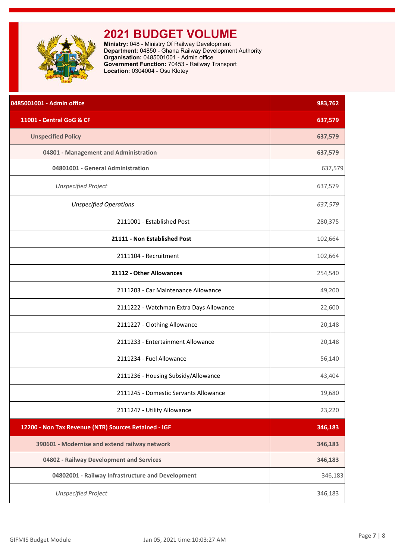<span id="page-7-0"></span>

**Ministry:** 048 - Ministry Of Railway Development **Department:** 04850 - Ghana Railway Development Authority **Organisation:** 0485001001 - Admin office **Government Function:** 70453 - Railway Transport **Location:** 0304004 - Osu Klotey

| 0485001001 - Admin office                            | 983,762 |
|------------------------------------------------------|---------|
| 11001 - Central GoG & CF                             | 637,579 |
| <b>Unspecified Policy</b>                            | 637,579 |
| 04801 - Management and Administration                | 637,579 |
| 04801001 - General Administration                    | 637,579 |
| <b>Unspecified Project</b>                           | 637,579 |
| <b>Unspecified Operations</b>                        | 637,579 |
| 2111001 - Established Post                           | 280,375 |
| 21111 - Non Established Post                         | 102,664 |
| 2111104 - Recruitment                                | 102,664 |
| 21112 - Other Allowances                             | 254,540 |
| 2111203 - Car Maintenance Allowance                  | 49,200  |
| 2111222 - Watchman Extra Days Allowance              | 22,600  |
| 2111227 - Clothing Allowance                         | 20,148  |
| 2111233 - Entertainment Allowance                    | 20,148  |
| 2111234 - Fuel Allowance                             | 56,140  |
| 2111236 - Housing Subsidy/Allowance                  | 43,404  |
| 2111245 - Domestic Servants Allowance                | 19,680  |
| 2111247 - Utility Allowance                          | 23,220  |
| 12200 - Non Tax Revenue (NTR) Sources Retained - IGF | 346,183 |
| 390601 - Modernise and extend railway network        | 346,183 |
| 04802 - Railway Development and Services             | 346,183 |
| 04802001 - Railway Infrastructure and Development    | 346,183 |
| <b>Unspecified Project</b>                           | 346,183 |